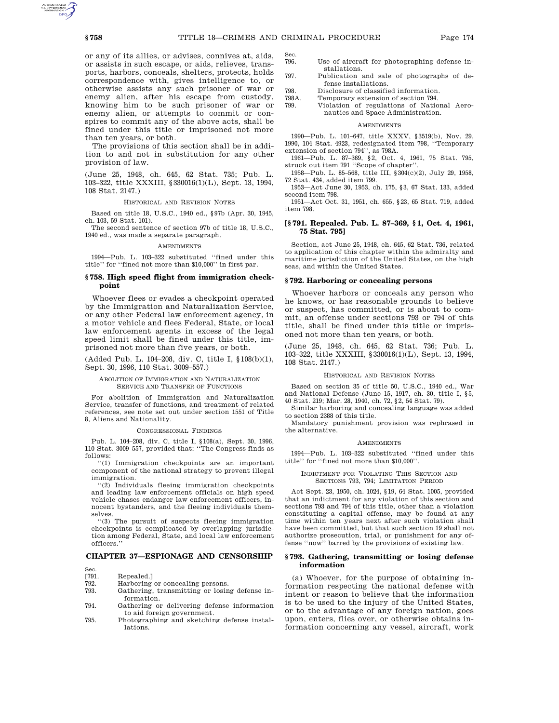Sec.

or any of its allies, or advises, connives at, aids, or assists in such escape, or aids, relieves, transports, harbors, conceals, shelters, protects, holds correspondence with, gives intelligence to, or otherwise assists any such prisoner of war or enemy alien, after his escape from custody, knowing him to be such prisoner of war or enemy alien, or attempts to commit or conspires to commit any of the above acts, shall be fined under this title or imprisoned not more than ten years, or both.

The provisions of this section shall be in addition to and not in substitution for any other provision of law.

(June 25, 1948, ch. 645, 62 Stat. 735; Pub. L. 103–322, title XXXIII, §330016(1)(L), Sept. 13, 1994, 108 Stat. 2147.)

HISTORICAL AND REVISION NOTES

Based on title 18, U.S.C., 1940 ed., §97b (Apr. 30, 1945, ch. 103, 59 Stat. 101).

The second sentence of section 97b of title 18, U.S.C., 1940 ed., was made a separate paragraph.

#### AMENDMENTS

1994—Pub. L. 103–322 substituted ''fined under this title'' for ''fined not more than \$10,000'' in first par.

# **§ 758. High speed flight from immigration checkpoint**

Whoever flees or evades a checkpoint operated by the Immigration and Naturalization Service, or any other Federal law enforcement agency, in a motor vehicle and flees Federal, State, or local law enforcement agents in excess of the legal speed limit shall be fined under this title, imprisoned not more than five years, or both.

(Added Pub. L. 104–208, div. C, title I, §108(b)(1), Sept. 30, 1996, 110 Stat. 3009–557.)

#### ABOLITION OF IMMIGRATION AND NATURALIZATION SERVICE AND TRANSFER OF FUNCTIONS

For abolition of Immigration and Naturalization Service, transfer of functions, and treatment of related references, see note set out under section 1551 of Title 8, Aliens and Nationality.

## CONGRESSIONAL FINDINGS

Pub. L. 104–208, div. C, title I, §108(a), Sept. 30, 1996, 110 Stat. 3009–557, provided that: ''The Congress finds as follows:

''(1) Immigration checkpoints are an important component of the national strategy to prevent illegal immigration.

''(2) Individuals fleeing immigration checkpoints and leading law enforcement officials on high speed vehicle chases endanger law enforcement officers, innocent bystanders, and the fleeing individuals themselves.

''(3) The pursuit of suspects fleeing immigration checkpoints is complicated by overlapping jurisdiction among Federal, State, and local law enforcement officers.''

## **CHAPTER 37—ESPIONAGE AND CENSORSHIP**

Sec.<br>[791.

[791. Repealed.]<br>792. Harboring Harboring or concealing persons.

793. Gathering, transmitting or losing defense information.

- 794. Gathering or delivering defense information to aid foreign government.
- 795. Photographing and sketching defense installations.
- 796. Use of aircraft for photographing defense installations.
- 797. Publication and sale of photographs of defense installations.
- 798. Disclosure of classified information.
- 798A. Temporary extension of section 794.
	- Violation of regulations of National Aeronautics and Space Administration.

#### **AMENDMENTS**

1990—Pub. L. 101–647, title XXXV, §3519(b), Nov. 29, 1990, 104 Stat. 4923, redesignated item 798, ''Temporary extension of section 794'', as 798A.

1961—Pub. L. 87–369, §2, Oct. 4, 1961, 75 Stat. 795, struck out item 791 ''Scope of chapter''.

1958—Pub. L. 85–568, title III, §304(c)(2), July 29, 1958, 72 Stat. 434, added item 799.

1953—Act June 30, 1953, ch. 175, §3, 67 Stat. 133, added second item 798.

1951—Act Oct. 31, 1951, ch. 655, §23, 65 Stat. 719, added item 798.

## **[§ 791. Repealed. Pub. L. 87–369, § 1, Oct. 4, 1961, 75 Stat. 795]**

Section, act June 25, 1948, ch. 645, 62 Stat. 736, related to application of this chapter within the admiralty and maritime jurisdiction of the United States, on the high seas, and within the United States.

## **§ 792. Harboring or concealing persons**

Whoever harbors or conceals any person who he knows, or has reasonable grounds to believe or suspect, has committed, or is about to commit, an offense under sections 793 or 794 of this title, shall be fined under this title or imprisoned not more than ten years, or both.

(June 25, 1948, ch. 645, 62 Stat. 736; Pub. L. 103–322, title XXXIII, §330016(1)(L), Sept. 13, 1994, 108 Stat. 2147.)

## HISTORICAL AND REVISION NOTES

Based on section 35 of title 50, U.S.C., 1940 ed., War and National Defense (June 15, 1917, ch. 30, title I, §5, 40 Stat. 219; Mar. 28, 1940, ch. 72, §2, 54 Stat. 79).

Similar harboring and concealing language was added to section 2388 of this title.

Mandatory punishment provision was rephrased in the alternative.

#### **AMENDMENTS**

1994—Pub. L. 103–322 substituted ''fined under this title'' for ''fined not more than \$10,000''.

## INDICTMENT FOR VIOLATING THIS SECTION AND SECTIONS 793, 794; LIMITATION PERIOD

Act Sept. 23, 1950, ch. 1024, §19, 64 Stat. 1005, provided that an indictment for any violation of this section and sections 793 and 794 of this title, other than a violation constituting a capital offense, may be found at any time within ten years next after such violation shall have been committed, but that such section 19 shall not authorize prosecution, trial, or punishment for any offense ''now'' barred by the provisions of existing law.

## **§ 793. Gathering, transmitting or losing defense information**

(a) Whoever, for the purpose of obtaining information respecting the national defense with intent or reason to believe that the information is to be used to the injury of the United States, or to the advantage of any foreign nation, goes upon, enters, flies over, or otherwise obtains information concerning any vessel, aircraft, work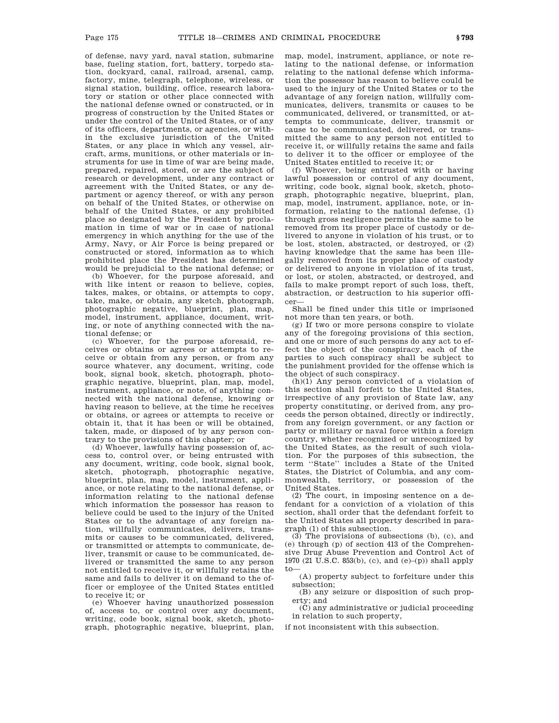of defense, navy yard, naval station, submarine base, fueling station, fort, battery, torpedo station, dockyard, canal, railroad, arsenal, camp, factory, mine, telegraph, telephone, wireless, or signal station, building, office, research laboratory or station or other place connected with the national defense owned or constructed, or in progress of construction by the United States or under the control of the United States, or of any of its officers, departments, or agencies, or within the exclusive jurisdiction of the United States, or any place in which any vessel, aircraft, arms, munitions, or other materials or instruments for use in time of war are being made, prepared, repaired, stored, or are the subject of research or development, under any contract or agreement with the United States, or any department or agency thereof, or with any person on behalf of the United States, or otherwise on behalf of the United States, or any prohibited place so designated by the President by proclamation in time of war or in case of national emergency in which anything for the use of the Army, Navy, or Air Force is being prepared or constructed or stored, information as to which prohibited place the President has determined would be prejudicial to the national defense; or

(b) Whoever, for the purpose aforesaid, and with like intent or reason to believe, copies, takes, makes, or obtains, or attempts to copy, take, make, or obtain, any sketch, photograph, photographic negative, blueprint, plan, map, model, instrument, appliance, document, writing, or note of anything connected with the national defense; or

(c) Whoever, for the purpose aforesaid, receives or obtains or agrees or attempts to receive or obtain from any person, or from any source whatever, any document, writing, code book, signal book, sketch, photograph, photographic negative, blueprint, plan, map, model, instrument, appliance, or note, of anything connected with the national defense, knowing or having reason to believe, at the time he receives or obtains, or agrees or attempts to receive or obtain it, that it has been or will be obtained, taken, made, or disposed of by any person contrary to the provisions of this chapter; or

(d) Whoever, lawfully having possession of, access to, control over, or being entrusted with any document, writing, code book, signal book, sketch, photograph, photographic negative, blueprint, plan, map, model, instrument, appliance, or note relating to the national defense, or information relating to the national defense which information the possessor has reason to believe could be used to the injury of the United States or to the advantage of any foreign nation, willfully communicates, delivers, transmits or causes to be communicated, delivered, or transmitted or attempts to communicate, deliver, transmit or cause to be communicated, delivered or transmitted the same to any person not entitled to receive it, or willfully retains the same and fails to deliver it on demand to the officer or employee of the United States entitled to receive it; or

(e) Whoever having unauthorized possession of, access to, or control over any document, writing, code book, signal book, sketch, photograph, photographic negative, blueprint, plan, map, model, instrument, appliance, or note relating to the national defense, or information relating to the national defense which information the possessor has reason to believe could be used to the injury of the United States or to the advantage of any foreign nation, willfully communicates, delivers, transmits or causes to be communicated, delivered, or transmitted, or attempts to communicate, deliver, transmit or cause to be communicated, delivered, or transmitted the same to any person not entitled to receive it, or willfully retains the same and fails to deliver it to the officer or employee of the United States entitled to receive it; or

(f) Whoever, being entrusted with or having lawful possession or control of any document, writing, code book, signal book, sketch, photograph, photographic negative, blueprint, plan, map, model, instrument, appliance, note, or information, relating to the national defense, (1) through gross negligence permits the same to be removed from its proper place of custody or delivered to anyone in violation of his trust, or to be lost, stolen, abstracted, or destroyed, or (2) having knowledge that the same has been illegally removed from its proper place of custody or delivered to anyone in violation of its trust, or lost, or stolen, abstracted, or destroyed, and fails to make prompt report of such loss, theft, abstraction, or destruction to his superior officer—

Shall be fined under this title or imprisoned not more than ten years, or both.

(g) If two or more persons conspire to violate any of the foregoing provisions of this section, and one or more of such persons do any act to effect the object of the conspiracy, each of the parties to such conspiracy shall be subject to the punishment provided for the offense which is the object of such conspiracy.

(h)(1) Any person convicted of a violation of this section shall forfeit to the United States, irrespective of any provision of State law, any property constituting, or derived from, any proceeds the person obtained, directly or indirectly, from any foreign government, or any faction or party or military or naval force within a foreign country, whether recognized or unrecognized by the United States, as the result of such violation. For the purposes of this subsection, the term ''State'' includes a State of the United States, the District of Columbia, and any commonwealth, territory, or possession of the United States.

(2) The court, in imposing sentence on a defendant for a conviction of a violation of this section, shall order that the defendant forfeit to the United States all property described in paragraph (1) of this subsection.

 $(3)$  The provisions of subsections  $(b)$ ,  $(c)$ , and (e) through (p) of section 413 of the Comprehensive Drug Abuse Prevention and Control Act of 1970 (21 U.S.C. 853(b), (c), and (e)–(p)) shall apply to—

(A) property subject to forfeiture under this subsection;

(B) any seizure or disposition of such property; and

(C) any administrative or judicial proceeding in relation to such property,

if not inconsistent with this subsection.